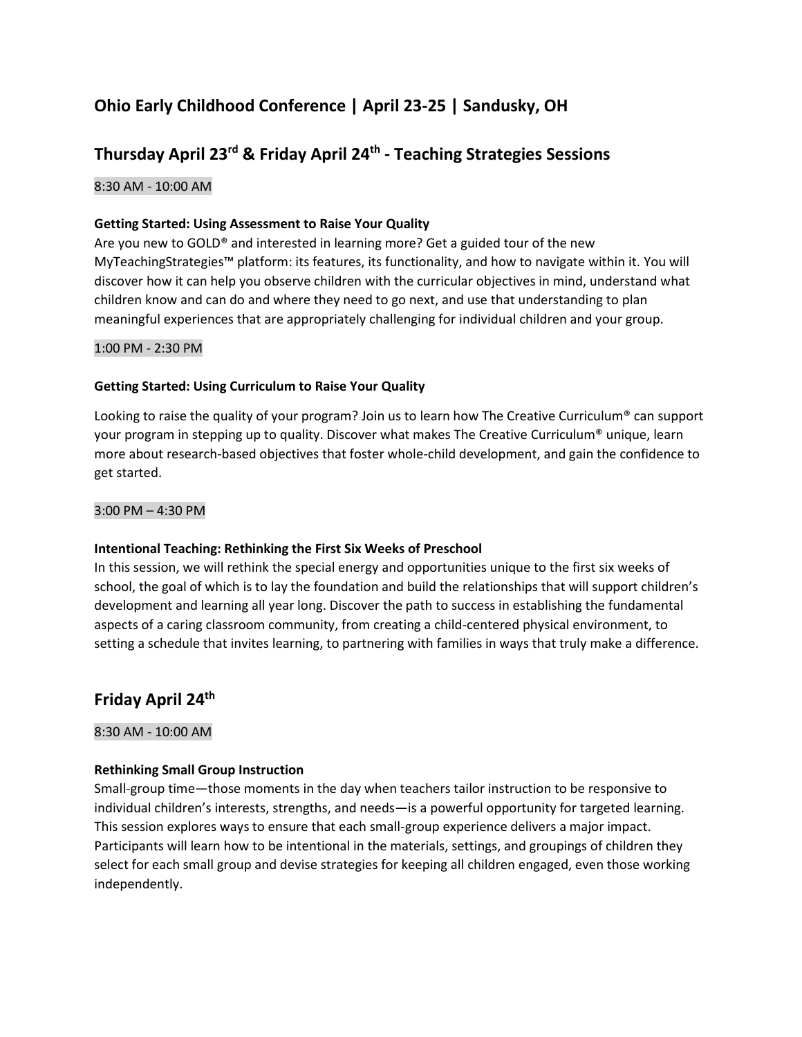# **Ohio Early Childhood Conference | April 23-25 | Sandusky, OH**

# **Thursday April 23rd & Friday April 24 th - Teaching Strategies Sessions**

## 8:30 AM - 10:00 AM

### **Getting Started: Using Assessment to Raise Your Quality**

Are you new to GOLD® and interested in learning more? Get a guided tour of the new MyTeachingStrategies™ platform: its features, its functionality, and how to navigate within it. You will discover how it can help you observe children with the curricular objectives in mind, understand what children know and can do and where they need to go next, and use that understanding to plan meaningful experiences that are appropriately challenging for individual children and your group.

#### 1:00 PM - 2:30 PM

### **Getting Started: Using Curriculum to Raise Your Quality**

Looking to raise the quality of your program? Join us to learn how The Creative Curriculum® can support your program in stepping up to quality. Discover what makes The Creative Curriculum® unique, learn more about research-based objectives that foster whole-child development, and gain the confidence to get started.

#### 3:00 PM – 4:30 PM

#### **Intentional Teaching: Rethinking the First Six Weeks of Preschool**

In this session, we will rethink the special energy and opportunities unique to the first six weeks of school, the goal of which is to lay the foundation and build the relationships that will support children's development and learning all year long. Discover the path to success in establishing the fundamental aspects of a caring classroom community, from creating a child-centered physical environment, to setting a schedule that invites learning, to partnering with families in ways that truly make a difference.

## **Friday April 24 th**

8:30 AM - 10:00 AM

#### **Rethinking Small Group Instruction**

Small-group time—those moments in the day when teachers tailor instruction to be responsive to individual children's interests, strengths, and needs—is a powerful opportunity for targeted learning. This session explores ways to ensure that each small-group experience delivers a major impact. Participants will learn how to be intentional in the materials, settings, and groupings of children they select for each small group and devise strategies for keeping all children engaged, even those working independently.